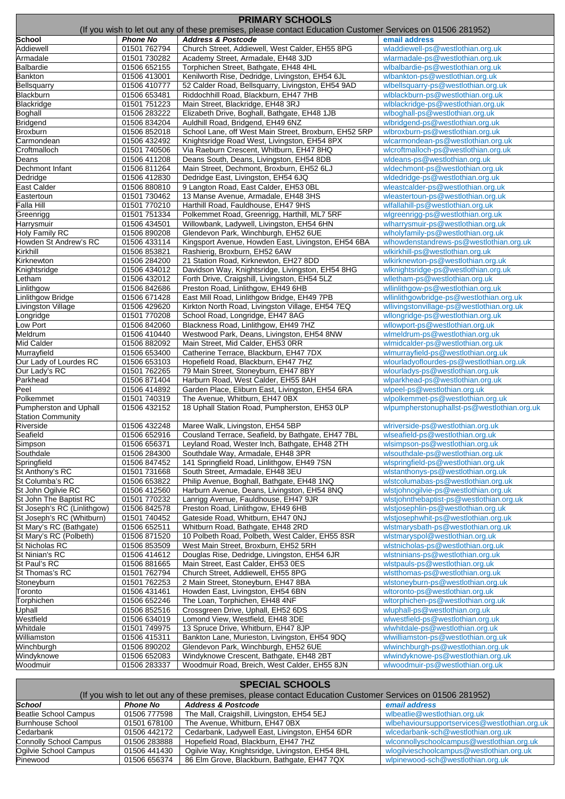| <b>PRIMARY SCHOOLS</b>                       |                              |                                                                                                            |                                                                                 |  |
|----------------------------------------------|------------------------------|------------------------------------------------------------------------------------------------------------|---------------------------------------------------------------------------------|--|
|                                              |                              | (If you wish to let out any of these premises, please contact Education Customer Services on 01506 281952) |                                                                                 |  |
| School                                       | <b>Phone No</b>              | <b>Address &amp; Postcode</b>                                                                              | email address                                                                   |  |
| Addiewell                                    | 01501 762794                 | Church Street, Addiewell, West Calder, EH55 8PG                                                            | wladdiewell-ps@westlothian.org.uk                                               |  |
| Armadale                                     | 01501 730282                 | Academy Street, Armadale, EH48 3JD                                                                         | wlarmadale-ps@westlothian.org.uk                                                |  |
| <b>Balbardie</b>                             | 01506 652155                 | Torphichen Street, Bathgate, EH48 4HL                                                                      | wlbalbardie-ps@westlothian.org.uk                                               |  |
| <b>Bankton</b>                               | 01506 413001                 | Kenilworth Rise, Dedridge, Livingston, EH54 6JL                                                            | wlbankton-ps@westlothian.org.uk                                                 |  |
| Bellsquarry                                  | 01506 410777                 | 52 Calder Road, Bellsquarry, Livingston, EH54 9AD                                                          | wlbellsquarry-ps@westlothian.org.uk                                             |  |
| <b>Blackburn</b><br><b>Blackridge</b>        | 01506 653481<br>01501 751223 | Riddochhill Road, Blackburn, EH47 7HB                                                                      | wlblackburn-ps@westlothian.org.uk<br>wlblackridge-ps@westlothian.org.uk         |  |
| Boghall                                      | 01506 283222                 | Main Street, Blackridge, EH48 3RJ<br>Elizabeth Drive, Boghall, Bathgate, EH48 1JB                          | wlboghall-ps@westlothian.org.uk                                                 |  |
| <b>Bridgend</b>                              | 01506 834204                 | Auldhill Road, Bridgend, EH49 6NZ                                                                          | wlbridgend-ps@westlothian.org.uk                                                |  |
| <b>Broxburn</b>                              | 01506 852018                 | School Lane, off West Main Street, Broxburn, EH52 5RP                                                      | wlbroxburn-ps@westlothian.org.uk                                                |  |
| Carmondean                                   | 01506 432492                 | Knightsridge Road West, Livingston, EH54 8PX                                                               | wlcarmondean-ps@westlothian.org.uk                                              |  |
| Croftmalloch                                 | 01501 740506                 | Via Raeburn Crescent, Whitburn, EH47 8HQ                                                                   | wlcroftmalloch-ps@westlothian.org.uk                                            |  |
| Deans                                        | 01506 411208                 | Deans South, Deans, Livingston, EH54 8DB                                                                   | wldeans-ps@westlothian.org.uk                                                   |  |
| Dechmont Infant                              | 01506 811264                 | Main Street, Dechmont, Broxburn, EH52 6LJ                                                                  | wldechmont-ps@westlothian.org.uk                                                |  |
| Dedridge                                     | 01506 412830                 | Dedridge East, Livingston, EH54 6JQ                                                                        | wldedridge-ps@westlothian.org.uk                                                |  |
| East Calder                                  | 01506 880810                 | 9 Langton Road, East Calder, EH53 0BL                                                                      | wleastcalder-ps@westlothian.org.uk                                              |  |
| Eastertoun                                   | 01501 730462                 | 13 Manse Avenue, Armadale, EH48 3HS                                                                        | wleastertoun-ps@westlothian.org.uk                                              |  |
| Falla Hill                                   | 01501 770210                 | Harthill Road, Fauldhouse, EH47 9HS                                                                        | wlfallahill-ps@westlothian.org.uk                                               |  |
| Greenrigg                                    | 01501 751334                 | Polkemmet Road, Greenrigg, Harthill, ML7 5RF                                                               | wlgreenrigg-ps@westlothian.org.uk                                               |  |
| Harrysmuir                                   | 01506 434501                 | Willowbank, Ladywell, Livingston, EH54 6HN                                                                 | wlharrysmuir-ps@westlothian.org.uk                                              |  |
| <b>Holy Family RC</b>                        | 01506 890208                 | Glendevon Park, Winchburgh, EH52 6UE                                                                       | wlholyfamily-ps@westlothian.org.uk                                              |  |
| Howden St Andrew's RC                        | 01506 433114                 | Kingsport Avenue, Howden East, Livingston, EH54 6BA                                                        | wlhowdenstandrews-ps@westlothian.org.uk                                         |  |
| Kirkhill                                     | 01506 853821                 | Rashierig, Broxburn, EH52 6AW                                                                              | wlkirkhill-ps@westlothian.org.uk                                                |  |
| Kirknewton                                   | 01506 284200                 | 21 Station Road, Kirknewton, EH27 8DD                                                                      | wlkirknewton-ps@westlothian.org.uk                                              |  |
| Knightsridge                                 | 01506 434012                 | Davidson Way, Knightsridge, Livingston, EH54 8HG                                                           | wlknightsridge-ps@westlothian.org.uk                                            |  |
| etham                                        | 01506 432012                 | Forth Drive, Craigshill, Livingston, EH54 5LZ                                                              | wlletham-ps@westlothian.org.uk                                                  |  |
| inlithgow                                    | 01506 842686                 | Preston Road, Linlithgow, EH49 6HB                                                                         | wllinlithgow-ps@westlothian.org.uk                                              |  |
| inlithgow Bridge                             | 01506 671428                 | East Mill Road, Linlithgow Bridge, EH49 7PB                                                                | wllinlithgowbridge-ps@westlothian.org.uk                                        |  |
| ivingston Village<br>_ongridge               | 01506 429620<br>01501 770208 | Kirkton North Road, Livingston Village, EH54 7EQ                                                           | wllivingstonvillage-ps@westlothian.org.uk                                       |  |
| ow Port                                      | 01506 842060                 | School Road, Longridge, EH47 8AG<br>Blackness Road, Linlithgow, EH49 7HZ                                   | wllongridge-ps@westlothian.org.uk<br>wllowport-ps@westlothian.org.uk            |  |
| Meldrum                                      | 01506 410440                 | Westwood Park, Deans, Livingston, EH54 8NW                                                                 | wlmeldrum-ps@westlothian.org.uk                                                 |  |
| Mid Calder                                   | 01506 882092                 | Main Street, Mid Calder, EH53 0RR                                                                          | wlmidcalder-ps@westlothian.org.uk                                               |  |
| Murrayfield                                  | 01506 653400                 | Catherine Terrace, Blackburn, EH47 7DX                                                                     | wlmurrayfield-ps@westlothian.org.uk                                             |  |
| Our Lady of Lourdes RC                       | 01506 653103                 | Hopefield Road, Blackburn, EH47 7HZ                                                                        | wlourladyoflourdes-ps@westlothian.org.uk                                        |  |
| Our Lady's RC                                | 01501 762265                 | 79 Main Street, Stoneyburn, EH47 8BY                                                                       | wlourladys-ps@westlothian.org.uk                                                |  |
| Parkhead                                     | 01506 871404                 | Harburn Road, West Calder, EH55 8AH                                                                        | wlparkhead-ps@westlothian.org.uk                                                |  |
| Peel                                         | 01506 414892                 | Garden Place, Eliburn East, Livingston, EH54 6RA                                                           | wlpeel-ps@westlothian.org.uk                                                    |  |
| Polkemmet                                    | 01501 740319                 | The Avenue, Whitburn, EH47 0BX                                                                             | wlpolkemmet-ps@westlothian.org.uk                                               |  |
| Pumpherston and Uphall                       | 01506 432152                 | 18 Uphall Station Road, Pumpherston, EH53 0LP                                                              | wlpumpherstonuphallst-ps@westlothian.org.uk                                     |  |
| <b>Station Community</b>                     |                              |                                                                                                            |                                                                                 |  |
| Riverside                                    | 01506 432248                 | Maree Walk, Livingston, EH54 5BP                                                                           | wlriverside-ps@westlothian.org.uk                                               |  |
| Seafield                                     | 01506 652916                 | Cousland Terrace, Seafield, by Bathgate, EH47 7BL                                                          | wlseafield-ps@westlothian.org.uk                                                |  |
| Simpson                                      | 01506 656371                 | Leyland Road, Wester Inch, Bathgate, EH48 2TH                                                              | wlsimpson-ps@westlothian.org.uk                                                 |  |
| Southdale                                    | 01506 284300                 | Southdale Way, Armadale, EH48 3PR                                                                          | wlsouthdale-ps@westlothian.org.uk                                               |  |
| Springfield                                  | 01506 847452                 | 141 Springfield Road, Linlithgow, EH49 7SN                                                                 | wlspringfield-ps@westlothian.org.uk                                             |  |
| St Anthony's RC                              | 01501 731668                 | South Street, Armadale, EH48 3EU                                                                           | wlstanthonys-ps@westlothian.org.uk                                              |  |
| St Columba's RC                              | 01506 653822                 | Philip Avenue, Boghall, Bathgate, EH48 1NQ                                                                 | wlstcolumabas-ps@westlothian.org.uk                                             |  |
| St John Ogilvie RC<br>St John The Baptist RC | 01506 412560<br>01501 770232 | Harburn Avenue, Deans, Livingston, EH54 8NQ                                                                | wlstjohnogilvie-ps@westlothian.org.uk                                           |  |
| St Joseph's RC (Linlithgow)                  | 01506 842578                 | Lanrigg Avenue, Fauldhouse, EH47 9JR<br>Preston Road, Linlithgow, EH49 6HB                                 | wlstjohnthebaptist-ps@westlothian.org.uk<br>wlstjosephlin-ps@westlothian.org.uk |  |
| St Joseph's RC (Whitburn)                    | 01501 740452                 | Gateside Road, Whitburn, EH47 0NJ                                                                          | wlstjosephwhit-ps@westlothian.org.uk                                            |  |
| St Mary's RC (Bathgate)                      | 01506 652511                 | Whitburn Road, Bathgate, EH48 2RD                                                                          | wlstmarysbath-ps@westlothian.org.uk                                             |  |
| St Mary's RC (Polbeth)                       | 01506 871520                 | 10 Polbeth Road, Polbeth, West Calder, EH55 8SR                                                            | wlstmaryspol@westlothian.org.uk                                                 |  |
| St Nicholas RC                               | 01506 853509                 | West Main Street, Broxburn, EH52 5RH                                                                       | wlstnicholas-ps@westlothian.org.uk                                              |  |
| St Ninian's RC                               | 01506 414612                 | Douglas Rise, Dedridge, Livingston, EH54 6JR                                                               | wlstninians-ps@westlothian.org.uk                                               |  |
| St Paul's RC                                 | 01506 881665                 | Main Street, East Calder, EH53 0ES                                                                         | wlstpauls-ps@westlothian.org.uk                                                 |  |
| St Thomas's RC                               | 01501 762794                 | Church Street, Addiewell, EH55 8PG                                                                         | wlstthomas-ps@westlothian.org.uk                                                |  |
| Stoneyburn                                   | 01501 762253                 | 2 Main Street, Stoneyburn, EH47 8BA                                                                        | wlstoneyburn-ps@westlothian.org.uk                                              |  |
| Toronto                                      | 01506 431461                 | Howden East, Livingston, EH54 6BN                                                                          | wltoronto-ps@westlothian.org.uk                                                 |  |
| Torphichen                                   | 01506 652246                 | The Loan, Torphichen, EH48 4NF                                                                             | wltorphichen-ps@westlothian.org.uk                                              |  |
| Jphall                                       | 01506 852516                 | Crossgreen Drive, Uphall, EH52 6DS                                                                         | wluphall-ps@westlothian.org.uk                                                  |  |
| Westfield                                    | 01506 634019                 | Lomond View, Westfield, EH48 3DE                                                                           | wlwestfield-ps@westlothian.org.uk                                               |  |
| Whitdale                                     | 01501 749975                 | 13 Spruce Drive, Whitburn, EH47 8JP                                                                        | wlwhitdale-ps@westlothian.org.uk                                                |  |
| Williamston                                  | 01506 415311                 | Bankton Lane, Murieston, Livingston, EH54 9DQ                                                              | wlwilliamston-ps@westlothian.org.uk                                             |  |
| Winchburgh                                   | 01506 890202                 | Glendevon Park, Winchburgh, EH52 6UE                                                                       | wlwinchburgh-ps@westlothian.org.uk                                              |  |
| Windyknowe                                   | 01506 652083                 | Windyknowe Crescent, Bathgate, EH48 2BT                                                                    | wlwindyknowe-ps@westlothian.org.uk                                              |  |
| Woodmuir                                     | 01506 283337                 | Woodmuir Road, Breich, West Calder, EH55 8JN                                                               | wlwoodmuir-ps@westlothian.org.uk                                                |  |

## **SPECIAL SCHOOLS**

| (If you wish to let out any of these premises, please contact Education Customer Services on 01506 281952) |                 |                                                 |                                               |  |  |
|------------------------------------------------------------------------------------------------------------|-----------------|-------------------------------------------------|-----------------------------------------------|--|--|
| <b>School</b>                                                                                              | <b>Phone No</b> | <b>Address &amp; Postcode</b>                   | email address                                 |  |  |
| Beatlie School Campus                                                                                      | 01506 777598    | The Mall, Craigshill, Livingston, EH54 5EJ      | wlbeatlie@westlothian.org.uk                  |  |  |
| <b>Burnhouse School</b>                                                                                    | 01501 678100    | The Avenue, Whitburn, EH47 0BX                  | wlbehavioursupportservices@westlothian.org.uk |  |  |
| Cedarbank                                                                                                  | 01506 442172    | Cedarbank, Ladywell East, Livingston, EH54 6DR  | wlcedarbank-sch@westlothian.org.uk            |  |  |
| <b>Connolly School Campus</b>                                                                              | 01506 283888    | Hopefield Road, Blackburn, EH47 7HZ             | wlconnollyschoolcampus@westlothian.org.uk     |  |  |
| Ogilvie School Campus                                                                                      | 01506 441430    | Ogilvie Way, Knightsridge, Livingston, EH54 8HL | wlogilvieschoolcampus@westlothian.org.uk      |  |  |
| Pinewood                                                                                                   | 01506 656374    | 86 Elm Grove, Blackburn, Bathgate, EH47 7QX     | wlpinewood-sch@westlothian.org.uk             |  |  |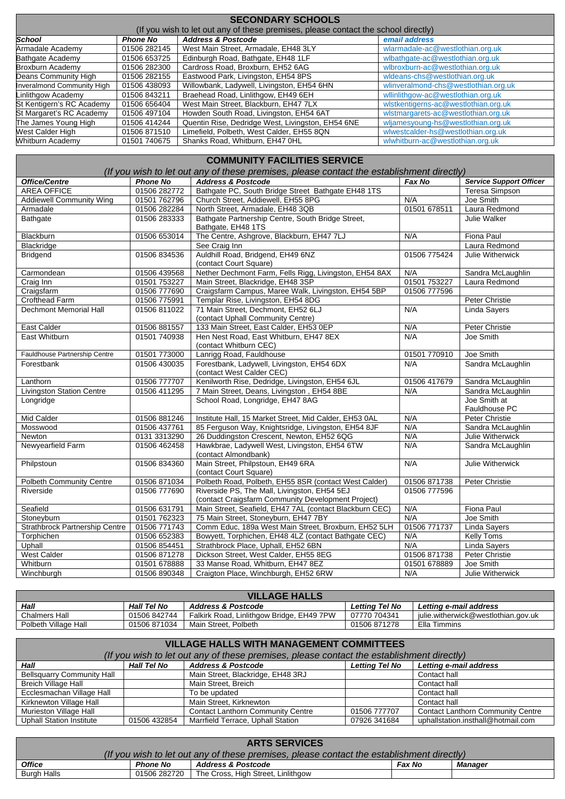| <b>SECONDARY SCHOOLS</b>   |                 |                                                                                    |                                      |  |
|----------------------------|-----------------|------------------------------------------------------------------------------------|--------------------------------------|--|
|                            |                 | (If you wish to let out any of these premises, please contact the school directly) |                                      |  |
| <b>School</b>              | <b>Phone No</b> | <b>Address &amp; Postcode</b>                                                      | email address                        |  |
| Armadale Academy           | 01506 282145    | West Main Street, Armadale, EH48 3LY                                               | wlarmadale-ac@westlothian.org.uk     |  |
| <b>Bathgate Academy</b>    | 01506 653725    | Edinburgh Road, Bathgate, EH48 1LF                                                 | wlbathgate-ac@westlothian.org.uk     |  |
| <b>Broxburn Academy</b>    | 01506 282300    | Cardross Road, Broxburn, EH52 6AG                                                  | wlbroxburn-ac@westlothian.org.uk     |  |
| Deans Community High       | 01506 282155    | Eastwood Park, Livingston, EH54 8PS                                                | wideans-chs@westlothian.org.uk       |  |
| Inveralmond Community High | 01506 438093    | Willowbank, Ladywell, Livingston, EH54 6HN                                         | wlinveralmond-chs@westlothian.org.uk |  |
| Linlithgow Academy         | 01506 843211    | Braehead Road, Linlithgow, EH49 6EH                                                | wllinlithgow-ac@westlothian.org.uk   |  |
| St Kentigern's RC Academy  | 01506 656404    | West Main Street, Blackburn, EH47 7LX                                              | wlstkentigerns-ac@westlothian.org.uk |  |
| St Margaret's RC Academy   | 01506 497104    | Howden South Road, Livingston, EH54 6AT                                            | wlstmargarets-ac@westlothian.org.uk  |  |
| The James Young High       | 01506 414244    | Quentin Rise, Dedridge West, Livingston, EH54 6NE                                  | wljamesyoung-hs@westlothian.org.uk   |  |
| West Calder High           | 01506 871510    | Limefield, Polbeth, West Calder, EH55 8QN                                          | wlwestcalder-hs@westlothian.org.uk   |  |
| Whitburn Academy           | 01501 740675    | Shanks Road, Whitburn, EH47 0HL                                                    | wlwhitburn-ac@westlothian.org.uk     |  |

## **COMMUNITY FACILITIES SERVICE**

| (If you wish to let out any of these premises, please contact the establishment directly) |                 |                                                         |              |                                |
|-------------------------------------------------------------------------------------------|-----------------|---------------------------------------------------------|--------------|--------------------------------|
| <b>Office/Centre</b>                                                                      | <b>Phone No</b> | <b>Address &amp; Postcode</b>                           | Fax No       | <b>Service Support Officer</b> |
| <b>AREA OFFICE</b>                                                                        | 01506 282772    | Bathgate PC, South Bridge Street Bathgate EH48 1TS      |              | Teresa Simpson                 |
| <b>Addiewell Community Wing</b>                                                           | 01501 762796    | Church Street, Addiewell, EH55 8PG                      | N/A          | Joe Smith                      |
| Armadale                                                                                  | 01506 282284    | North Street, Armadale, EH48 3QB                        | 01501 678511 | Laura Redmond                  |
| Bathgate                                                                                  | 01506 283333    | Bathgate Partnership Centre, South Bridge Street,       |              | <b>Julie Walker</b>            |
|                                                                                           |                 | Bathgate, EH48 1TS                                      |              |                                |
| Blackburn                                                                                 | 01506 653014    | The Centre, Ashgrove, Blackburn, EH47 7LJ               | N/A          | <b>Fiona Paul</b>              |
| Blackridge                                                                                |                 | See Craig Inn                                           |              | Laura Redmond                  |
| <b>Bridgend</b>                                                                           | 01506 834536    | Auldhill Road, Bridgend, EH49 6NZ                       | 01506 775424 | Julie Witherwick               |
|                                                                                           |                 | (contact Court Square)                                  |              |                                |
| Carmondean                                                                                | 01506 439568    | Nether Dechmont Farm, Fells Rigg, Livingston, EH54 8AX  | N/A          | Sandra McLaughlin              |
| Craig Inn                                                                                 | 01501 753227    | Main Street, Blackridge, EH48 3SP                       | 01501 753227 | Laura Redmond                  |
| Craigsfarm                                                                                | 01506 777690    | Craigsfarm Campus, Maree Walk, Livingston, EH54 5BP     | 01506 777596 |                                |
| Crofthead Farm                                                                            | 01506 775991    | Templar Rise, Livingston, EH54 8DG                      |              | Peter Christie                 |
| Dechmont Memorial Hall                                                                    | 01506 811022    | 71 Main Street, Dechmont, EH52 6LJ                      | N/A          | Linda Sayers                   |
|                                                                                           |                 | (contact Uphall Community Centre)                       |              |                                |
| <b>East Calder</b>                                                                        | 01506 881557    | 133 Main Street, East Calder, EH53 0EP                  | N/A          | <b>Peter Christie</b>          |
| East Whitburn                                                                             | 01501 740938    | Hen Nest Road, East Whitburn, EH47 8EX                  | N/A          | Joe Smith                      |
|                                                                                           |                 | (contact Whitburn CEC)                                  |              |                                |
| Fauldhouse Partnership Centre                                                             | 01501 773000    | Lanrigg Road, Fauldhouse                                | 01501 770910 | Joe Smith                      |
| Forestbank                                                                                | 01506 430035    | Forestbank, Ladywell, Livingston, EH54 6DX              | N/A          | Sandra McLaughlin              |
|                                                                                           |                 | (contact West Calder CEC)                               |              |                                |
| Lanthorn                                                                                  | 01506 777707    | Kenilworth Rise, Dedridge, Livingston, EH54 6JL         | 01506 417679 | Sandra McLaughlin              |
| <b>Livingston Station Centre</b>                                                          | 01506 411295    | 7 Main Street, Deans, Livingston, EH54 8BE              | N/A          | Sandra McLaughlin              |
| Longridge                                                                                 |                 | School Road, Longridge, EH47 8AG                        |              | Joe Smith at                   |
|                                                                                           |                 |                                                         |              | Fauldhouse PC                  |
| <b>Mid Calder</b>                                                                         | 01506 881246    | Institute Hall, 15 Market Street, Mid Calder, EH53 0AL  | N/A          | Peter Christie                 |
| Mosswood                                                                                  | 01506 437761    | 85 Ferguson Way, Knightsridge, Livingston, EH54 8JF     | N/A          | Sandra McLaughlin              |
| Newton                                                                                    | 0131 3313290    | 26 Duddingston Crescent, Newton, EH52 6QG               | N/A          | Julie Witherwick               |
| Newyearfield Farm                                                                         | 01506 462458    | Hawkbrae, Ladywell West, Livingston, EH54 6TW           | N/A          | Sandra McLaughlin              |
|                                                                                           |                 | (contact Almondbank)                                    |              |                                |
| Philpstoun                                                                                | 01506 834360    | Main Street, Philpstoun, EH49 6RA                       | N/A          | Julie Witherwick               |
|                                                                                           |                 | (contact Court Square)                                  |              |                                |
| <b>Polbeth Community Centre</b>                                                           | 01506 871034    | Polbeth Road, Polbeth, EH55 8SR (contact West Calder)   | 01506 871738 | Peter Christie                 |
| Riverside                                                                                 | 01506 777690    | Riverside PS, The Mall, Livingston, EH54 5EJ            | 01506 777596 |                                |
|                                                                                           |                 | (contact Craigsfarm Community Development Project)      |              |                                |
| Seafield                                                                                  | 01506 631791    | Main Street, Seafield, EH47 7AL (contact Blackburn CEC) | N/A          | Fiona Paul                     |
| Stoneyburn                                                                                | 01501 762323    | 75 Main Street, Stoneyburn, EH47 7BY                    | N/A          | Joe Smith                      |
| Strathbrock Partnership Centre                                                            | 01506 771743    | Comm Educ, 189a West Main Street, Broxburn, EH52 5LH    | 01506 771737 | Linda Sayers                   |
| Torphichen                                                                                | 01506 652383    | Bowyett, Torphichen, EH48 4LZ (contact Bathgate CEC)    | N/A          | Kelly Toms                     |
| Uphall                                                                                    | 01506 854451    | Strathbrock Place, Uphall, EH52 6BN                     | N/A          | <b>Linda Sayers</b>            |
| <b>West Calder</b>                                                                        | 01506 871278    | Dickson Street, West Calder, EH55 8EG                   | 01506 871738 | Peter Christie                 |
| Whitburn                                                                                  | 01501 678888    | 33 Manse Road, Whitburn, EH47 8EZ                       | 01501 678889 | Joe Smith                      |
| Winchburgh                                                                                | 01506 890348    | Craigton Place, Winchburgh, EH52 6RW                    | N/A          | Julie Witherwick               |

| <b>VILLAGE HALLS</b> |                    |                                           |                       |                                     |  |
|----------------------|--------------------|-------------------------------------------|-----------------------|-------------------------------------|--|
| Hall                 | <b>Hall Tel No</b> | <b>Address &amp; Postcode</b>             | <b>Letting Tel No</b> | Letting e-mail address              |  |
| Chalmers Hall        | 01506 842744       | Falkirk Road, Linlithgow Bridge, EH49 7PW | 07770 704341          | julie.witherwick@westlothian.gov.uk |  |
| Polbeth Village Hall | 01506 871034       | Main Street. Polbeth                      | 01506 871278          | Ella Timmins                        |  |

| <b>VILLAGE HALLS WITH MANAGEMENT COMMITTEES</b> |                    |                                                                                           |                       |                                          |  |
|-------------------------------------------------|--------------------|-------------------------------------------------------------------------------------------|-----------------------|------------------------------------------|--|
|                                                 |                    | (If you wish to let out any of these premises, please contact the establishment directly) |                       |                                          |  |
| Hall                                            | <b>Hall Tel No</b> | <b>Address &amp; Postcode</b>                                                             | <b>Letting Tel No</b> | Letting e-mail address                   |  |
| <b>Bellsquarry Community Hall</b>               |                    | Main Street, Blackridge, EH48 3RJ                                                         |                       | Contact hall                             |  |
| <b>Breich Village Hall</b>                      |                    | Main Street, Breich                                                                       |                       | Contact hall                             |  |
| Ecclesmachan Village Hall                       |                    | To be updated                                                                             |                       | Contact hall                             |  |
| Kirknewton Village Hall                         |                    | Main Street, Kirknewton                                                                   |                       | Contact hall                             |  |
| Murieston Village Hall                          |                    | <b>Contact Lanthorn Community Centre</b>                                                  | 01506 777707          | <b>Contact Lanthorn Community Centre</b> |  |
| <b>Uphall Station Institute</b>                 | 01506 432854       | Marrfield Terrace, Uphall Station                                                         | 07926 341684          | uphallstation.insthall@hotmail.com       |  |

| <b>ARTS SERVICES</b>                                                                      |                 |                                    |               |         |  |
|-------------------------------------------------------------------------------------------|-----------------|------------------------------------|---------------|---------|--|
| (If you wish to let out any of these premises, please contact the establishment directly) |                 |                                    |               |         |  |
| <b>Office</b>                                                                             | <b>Phone No</b> | <b>Address &amp; Postcode</b>      | <b>Fax No</b> | Manager |  |
| <b>Burgh Halls</b>                                                                        | 01506 282720    | The Cross, High Street, Linlithgow |               |         |  |